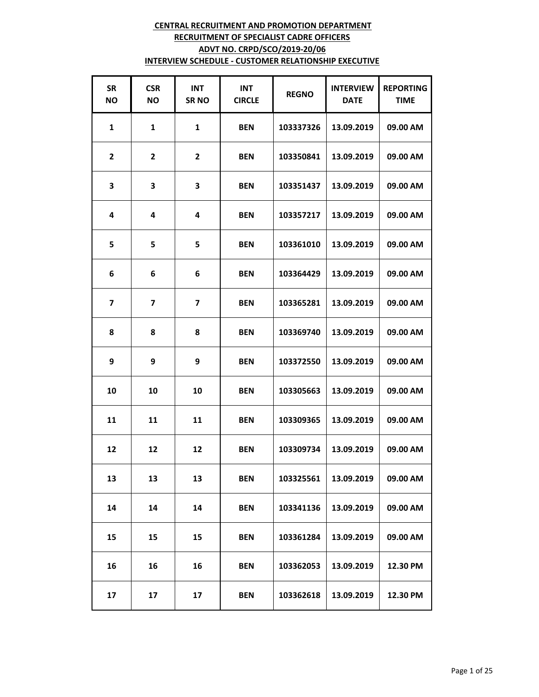| <b>SR</b><br><b>NO</b> | <b>CSR</b><br><b>NO</b> | <b>INT</b><br><b>SRNO</b> | <b>INT</b><br><b>CIRCLE</b> | <b>REGNO</b> | <b>INTERVIEW</b><br><b>DATE</b> | <b>REPORTING</b><br><b>TIME</b> |
|------------------------|-------------------------|---------------------------|-----------------------------|--------------|---------------------------------|---------------------------------|
| $\mathbf{1}$           | $\mathbf{1}$            | $\mathbf{1}$              | <b>BEN</b>                  | 103337326    | 13.09.2019                      | 09.00 AM                        |
| 2                      | 2                       | $\overline{2}$            | <b>BEN</b>                  | 103350841    | 13.09.2019                      | 09.00 AM                        |
| 3                      | 3                       | 3                         | <b>BEN</b>                  | 103351437    | 13.09.2019                      | 09.00 AM                        |
| 4                      | 4                       | 4                         | <b>BEN</b>                  | 103357217    | 13.09.2019                      | 09.00 AM                        |
| 5                      | 5                       | 5                         | <b>BEN</b>                  | 103361010    | 13.09.2019                      | 09.00 AM                        |
| 6                      | 6                       | 6                         | <b>BEN</b>                  | 103364429    | 13.09.2019                      | 09.00 AM                        |
| $\overline{7}$         | $\overline{ }$          | $\overline{\mathbf{z}}$   | <b>BEN</b>                  | 103365281    | 13.09.2019                      | 09.00 AM                        |
| 8                      | 8                       | 8                         | <b>BEN</b>                  | 103369740    | 13.09.2019                      | 09.00 AM                        |
| 9                      | 9                       | 9                         | <b>BEN</b>                  | 103372550    | 13.09.2019                      | 09.00 AM                        |
| 10                     | 10                      | 10                        | <b>BEN</b>                  | 103305663    | 13.09.2019                      | 09.00 AM                        |
| 11                     | 11                      | 11                        | <b>BEN</b>                  | 103309365    | 13.09.2019                      | 09.00 AM                        |
| 12                     | 12                      | 12                        | <b>BEN</b>                  | 103309734    | 13.09.2019                      | 09.00 AM                        |
| 13                     | 13                      | 13                        | <b>BEN</b>                  | 103325561    | 13.09.2019                      | 09.00 AM                        |
| 14                     | 14                      | 14                        | <b>BEN</b>                  | 103341136    | 13.09.2019                      | 09.00 AM                        |
| 15                     | 15                      | 15                        | <b>BEN</b>                  | 103361284    | 13.09.2019                      | 09.00 AM                        |
| 16                     | 16                      | 16                        | <b>BEN</b>                  | 103362053    | 13.09.2019                      | 12.30 PM                        |
| 17                     | 17                      | 17                        | <b>BEN</b>                  | 103362618    | 13.09.2019                      | 12.30 PM                        |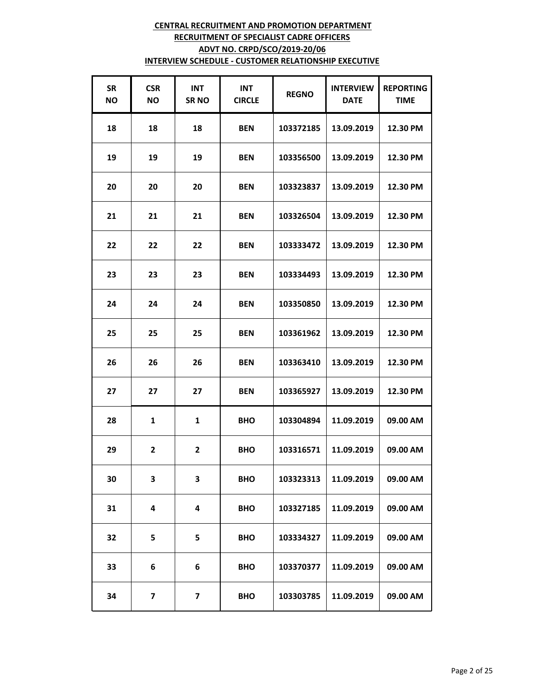| <b>SR</b><br><b>NO</b> | <b>CSR</b><br><b>NO</b> | <b>INT</b><br><b>SRNO</b> | <b>INT</b><br><b>CIRCLE</b> | <b>REGNO</b> | <b>INTERVIEW</b><br><b>DATE</b> | <b>REPORTING</b><br><b>TIME</b> |
|------------------------|-------------------------|---------------------------|-----------------------------|--------------|---------------------------------|---------------------------------|
| 18                     | 18                      | 18                        | <b>BEN</b>                  | 103372185    | 13.09.2019                      | 12.30 PM                        |
| 19                     | 19                      | 19                        | <b>BEN</b>                  | 103356500    | 13.09.2019                      | 12.30 PM                        |
| 20                     | 20                      | 20                        | <b>BEN</b>                  | 103323837    | 13.09.2019                      | 12.30 PM                        |
| 21                     | 21                      | 21                        | <b>BEN</b>                  | 103326504    | 13.09.2019                      | 12.30 PM                        |
| 22                     | 22                      | 22                        | <b>BEN</b>                  | 103333472    | 13.09.2019                      | 12.30 PM                        |
| 23                     | 23                      | 23                        | <b>BEN</b>                  | 103334493    | 13.09.2019                      | 12.30 PM                        |
| 24                     | 24                      | 24                        | <b>BEN</b>                  | 103350850    | 13.09.2019                      | 12.30 PM                        |
| 25                     | 25                      | 25                        | <b>BEN</b>                  | 103361962    | 13.09.2019                      | 12.30 PM                        |
| 26                     | 26                      | 26                        | <b>BEN</b>                  | 103363410    | 13.09.2019                      | 12.30 PM                        |
| 27                     | 27                      | 27                        | <b>BEN</b>                  | 103365927    | 13.09.2019                      | 12.30 PM                        |
| 28                     | 1                       | $\mathbf{1}$              | <b>BHO</b>                  | 103304894    | 11.09.2019                      | 09.00 AM                        |
| 29                     | $\overline{2}$          | $\overline{\mathbf{c}}$   | <b>BHO</b>                  | 103316571    | 11.09.2019                      | 09.00 AM                        |
| 30                     | 3                       | 3                         | <b>BHO</b>                  | 103323313    | 11.09.2019                      | 09.00 AM                        |
| 31                     | 4                       | 4                         | <b>BHO</b>                  | 103327185    | 11.09.2019                      | 09.00 AM                        |
| 32                     | 5                       | 5                         | <b>BHO</b>                  | 103334327    | 11.09.2019                      | 09.00 AM                        |
| 33                     | 6                       | 6                         | <b>BHO</b>                  | 103370377    | 11.09.2019                      | 09.00 AM                        |
| 34                     | $\overline{\mathbf{z}}$ | $\overline{\mathbf{z}}$   | <b>BHO</b>                  | 103303785    | 11.09.2019                      | 09.00 AM                        |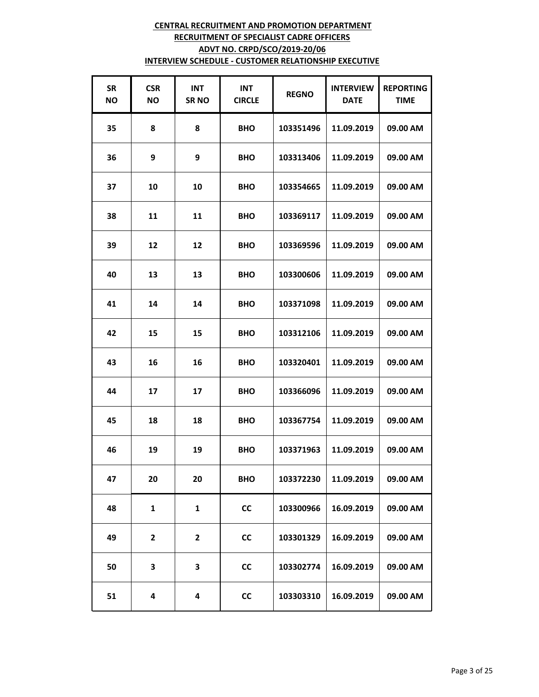| <b>SR</b><br><b>NO</b> | <b>CSR</b><br><b>NO</b> | <b>INT</b><br><b>SRNO</b> | <b>INT</b><br><b>CIRCLE</b> | <b>REGNO</b> | <b>INTERVIEW</b><br><b>DATE</b> | <b>REPORTING</b><br><b>TIME</b> |
|------------------------|-------------------------|---------------------------|-----------------------------|--------------|---------------------------------|---------------------------------|
| 35                     | 8                       | 8                         | <b>BHO</b>                  | 103351496    | 11.09.2019                      | 09.00 AM                        |
| 36                     | 9                       | 9                         | <b>BHO</b>                  | 103313406    | 11.09.2019                      | 09.00 AM                        |
| 37                     | 10                      | 10                        | <b>BHO</b>                  | 103354665    | 11.09.2019                      | 09.00 AM                        |
| 38                     | 11                      | 11                        | <b>BHO</b>                  | 103369117    | 11.09.2019                      | 09.00 AM                        |
| 39                     | 12                      | 12                        | <b>BHO</b>                  | 103369596    | 11.09.2019                      | 09.00 AM                        |
| 40                     | 13                      | 13                        | <b>BHO</b>                  | 103300606    | 11.09.2019                      | 09.00 AM                        |
| 41                     | 14                      | 14                        | <b>BHO</b>                  | 103371098    | 11.09.2019                      | 09.00 AM                        |
| 42                     | 15                      | 15                        | <b>BHO</b>                  | 103312106    | 11.09.2019                      | 09.00 AM                        |
| 43                     | 16                      | 16                        | <b>BHO</b>                  | 103320401    | 11.09.2019                      | 09.00 AM                        |
| 44                     | 17                      | 17                        | <b>BHO</b>                  | 103366096    | 11.09.2019                      | 09.00 AM                        |
| 45                     | 18                      | 18                        | <b>BHO</b>                  | 103367754    | 11.09.2019                      | 09.00 AM                        |
| 46                     | 19                      | 19                        | <b>BHO</b>                  | 103371963    | 11.09.2019                      | 09.00 AM                        |
| 47                     | 20                      | 20                        | <b>BHO</b>                  | 103372230    | 11.09.2019                      | 09.00 AM                        |
| 48                     | 1                       | $\mathbf{1}$              | <b>CC</b>                   | 103300966    | 16.09.2019                      | 09.00 AM                        |
| 49                     | $\mathbf{2}$            | $\mathbf{2}$              | cc                          | 103301329    | 16.09.2019                      | 09.00 AM                        |
| 50                     | 3                       | 3                         | <b>CC</b>                   | 103302774    | 16.09.2019                      | 09.00 AM                        |
| 51                     | 4                       | 4                         | cc                          | 103303310    | 16.09.2019                      | 09.00 AM                        |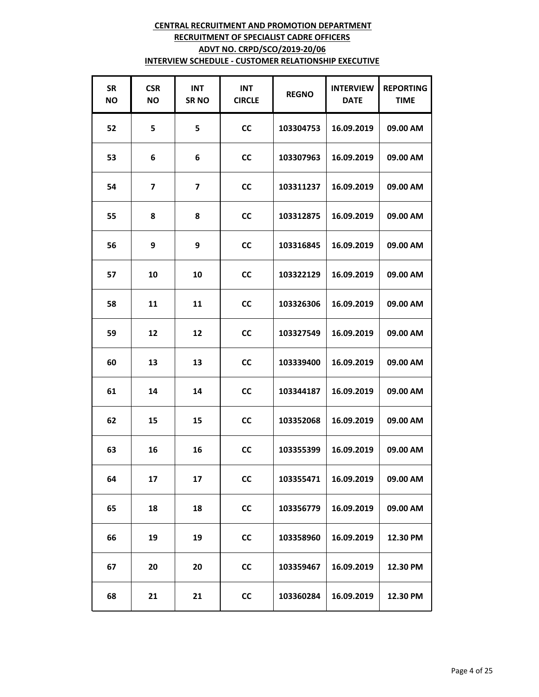| <b>SR</b><br><b>NO</b> | <b>CSR</b><br>ΝO        | <b>INT</b><br><b>SRNO</b> | <b>INT</b><br><b>CIRCLE</b> | <b>REGNO</b> | <b>INTERVIEW</b><br><b>DATE</b> | <b>REPORTING</b><br><b>TIME</b> |
|------------------------|-------------------------|---------------------------|-----------------------------|--------------|---------------------------------|---------------------------------|
| 52                     | 5                       | 5                         | <b>CC</b>                   | 103304753    | 16.09.2019                      | 09.00 AM                        |
| 53                     | 6                       | 6                         | <b>CC</b>                   | 103307963    | 16.09.2019                      | 09.00 AM                        |
| 54                     | $\overline{\mathbf{z}}$ | 7                         | <b>CC</b>                   | 103311237    | 16.09.2019                      | 09.00 AM                        |
| 55                     | 8                       | 8                         | <b>CC</b>                   | 103312875    | 16.09.2019                      | 09.00 AM                        |
| 56                     | 9                       | 9                         | <b>CC</b>                   | 103316845    | 16.09.2019                      | 09.00 AM                        |
| 57                     | 10                      | 10                        | <b>CC</b>                   | 103322129    | 16.09.2019                      | 09.00 AM                        |
| 58                     | 11                      | 11                        | <b>CC</b>                   | 103326306    | 16.09.2019                      | 09.00 AM                        |
| 59                     | 12                      | 12                        | <b>CC</b>                   | 103327549    | 16.09.2019                      | 09.00 AM                        |
| 60                     | 13                      | 13                        | <b>CC</b>                   | 103339400    | 16.09.2019                      | 09.00 AM                        |
| 61                     | 14                      | 14                        | <b>CC</b>                   | 103344187    | 16.09.2019                      | 09.00 AM                        |
| 62                     | 15                      | 15                        | <b>CC</b>                   | 103352068    | 16.09.2019                      | 09.00 AM                        |
| 63                     | 16                      | 16                        | <b>CC</b>                   | 103355399    | 16.09.2019                      | 09.00 AM                        |
| 64                     | 17                      | 17                        | cc                          | 103355471    | 16.09.2019                      | 09.00 AM                        |
| 65                     | 18                      | 18                        | <b>CC</b>                   | 103356779    | 16.09.2019                      | 09.00 AM                        |
| 66                     | 19                      | 19                        | cc                          | 103358960    | 16.09.2019                      | 12.30 PM                        |
| 67                     | 20                      | 20                        | <b>CC</b>                   | 103359467    | 16.09.2019                      | 12.30 PM                        |
| 68                     | 21                      | 21                        | <b>CC</b>                   | 103360284    | 16.09.2019                      | 12.30 PM                        |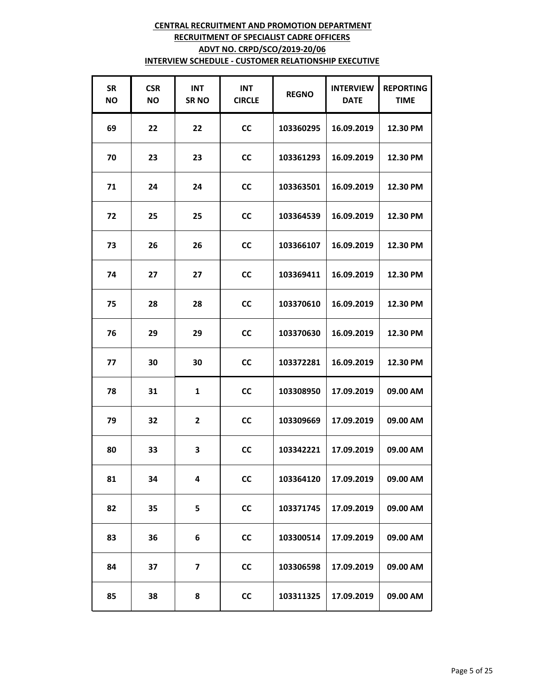| <b>SR</b><br><b>NO</b> | <b>CSR</b><br>ΝO | <b>INT</b><br><b>SRNO</b> | <b>INT</b><br><b>CIRCLE</b> | <b>REGNO</b> | <b>INTERVIEW</b><br><b>DATE</b> | <b>REPORTING</b><br><b>TIME</b> |
|------------------------|------------------|---------------------------|-----------------------------|--------------|---------------------------------|---------------------------------|
| 69                     | 22               | 22                        | <b>CC</b>                   | 103360295    | 16.09.2019                      | 12.30 PM                        |
| 70                     | 23               | 23                        | <b>CC</b>                   | 103361293    | 16.09.2019                      | 12.30 PM                        |
| 71                     | 24               | 24                        | <b>CC</b>                   | 103363501    | 16.09.2019                      | 12.30 PM                        |
| 72                     | 25               | 25                        | <b>CC</b>                   | 103364539    | 16.09.2019                      | 12.30 PM                        |
| 73                     | 26               | 26                        | <b>CC</b>                   | 103366107    | 16.09.2019                      | 12.30 PM                        |
| 74                     | 27               | 27                        | cc                          | 103369411    | 16.09.2019                      | 12.30 PM                        |
| 75                     | 28               | 28                        | <b>CC</b>                   | 103370610    | 16.09.2019                      | 12.30 PM                        |
| 76                     | 29               | 29                        | <b>CC</b>                   | 103370630    | 16.09.2019                      | 12.30 PM                        |
| 77                     | 30               | 30                        | <b>CC</b>                   | 103372281    | 16.09.2019                      | 12.30 PM                        |
| 78                     | 31               | $\mathbf{1}$              | <b>CC</b>                   | 103308950    | 17.09.2019                      | 09.00 AM                        |
| 79                     | 32               | $\overline{2}$            | <b>CC</b>                   | 103309669    | 17.09.2019                      | 09.00 AM                        |
| 80                     | 33               | 3                         | <b>CC</b>                   | 103342221    | 17.09.2019                      | 09.00 AM                        |
| 81                     | 34               | 4                         | cc                          | 103364120    | 17.09.2019                      | 09.00 AM                        |
| 82                     | 35               | 5                         | <b>CC</b>                   | 103371745    | 17.09.2019                      | 09.00 AM                        |
| 83                     | 36               | 6                         | cc                          | 103300514    | 17.09.2019                      | 09.00 AM                        |
| 84                     | 37               | 7                         | <b>CC</b>                   | 103306598    | 17.09.2019                      | 09.00 AM                        |
| 85                     | 38               | 8                         | <b>CC</b>                   | 103311325    | 17.09.2019                      | 09.00 AM                        |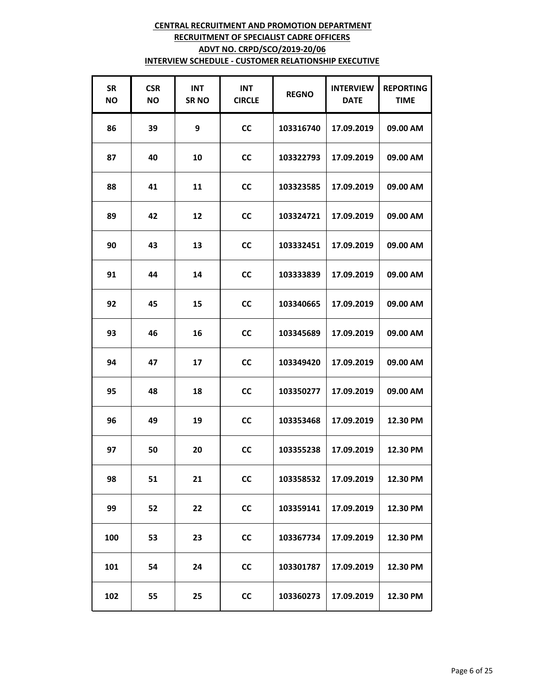| <b>SR</b><br><b>NO</b> | <b>CSR</b><br>ΝO | <b>INT</b><br><b>SRNO</b> | <b>INT</b><br><b>CIRCLE</b> | <b>REGNO</b> | <b>INTERVIEW</b><br><b>DATE</b> | <b>REPORTING</b><br><b>TIME</b> |
|------------------------|------------------|---------------------------|-----------------------------|--------------|---------------------------------|---------------------------------|
| 86                     | 39               | 9                         | <b>CC</b>                   | 103316740    | 17.09.2019                      | 09.00 AM                        |
| 87                     | 40               | 10                        | <b>CC</b>                   | 103322793    | 17.09.2019                      | 09.00 AM                        |
| 88                     | 41               | 11                        | CС                          | 103323585    | 17.09.2019                      | 09.00 AM                        |
| 89                     | 42               | 12                        | <b>CC</b>                   | 103324721    | 17.09.2019                      | 09.00 AM                        |
| 90                     | 43               | 13                        | <b>CC</b>                   | 103332451    | 17.09.2019                      | 09.00 AM                        |
| 91                     | 44               | 14                        | <b>CC</b>                   | 103333839    | 17.09.2019                      | 09.00 AM                        |
| 92                     | 45               | 15                        | <b>CC</b>                   | 103340665    | 17.09.2019                      | 09.00 AM                        |
| 93                     | 46               | 16                        | <b>CC</b>                   | 103345689    | 17.09.2019                      | 09.00 AM                        |
| 94                     | 47               | 17                        | <b>CC</b>                   | 103349420    | 17.09.2019                      | 09.00 AM                        |
| 95                     | 48               | 18                        | <b>CC</b>                   | 103350277    | 17.09.2019                      | 09.00 AM                        |
| 96                     | 49               | 19                        | <b>CC</b>                   | 103353468    | 17.09.2019                      | 12.30 PM                        |
| 97                     | 50               | 20                        | <b>CC</b>                   | 103355238    | 17.09.2019                      | 12.30 PM                        |
| 98                     | 51               | 21                        | cc                          | 103358532    | 17.09.2019                      | 12.30 PM                        |
| 99                     | 52               | 22                        | <b>CC</b>                   | 103359141    | 17.09.2019                      | 12.30 PM                        |
| 100                    | 53               | 23                        | cc                          | 103367734    | 17.09.2019                      | 12.30 PM                        |
| 101                    | 54               | 24                        | <b>CC</b>                   | 103301787    | 17.09.2019                      | 12.30 PM                        |
| 102                    | 55               | 25                        | <b>CC</b>                   | 103360273    | 17.09.2019                      | 12.30 PM                        |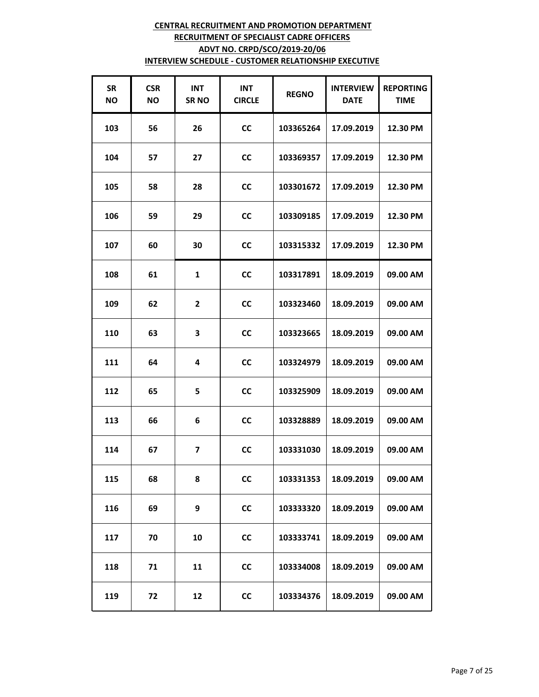| <b>SR</b><br><b>NO</b> | <b>CSR</b><br>ΝO | <b>INT</b><br><b>SRNO</b> | <b>INT</b><br><b>CIRCLE</b> | <b>REGNO</b> | <b>INTERVIEW</b><br><b>DATE</b> | <b>REPORTING</b><br><b>TIME</b> |
|------------------------|------------------|---------------------------|-----------------------------|--------------|---------------------------------|---------------------------------|
| 103                    | 56               | 26                        | <b>CC</b>                   | 103365264    | 17.09.2019                      | 12.30 PM                        |
| 104                    | 57               | 27                        | <b>CC</b>                   | 103369357    | 17.09.2019                      | 12.30 PM                        |
| 105                    | 58               | 28                        | CС                          | 103301672    | 17.09.2019                      | 12.30 PM                        |
| 106                    | 59               | 29                        | <b>CC</b>                   | 103309185    | 17.09.2019                      | 12.30 PM                        |
| 107                    | 60               | 30                        | <b>CC</b>                   | 103315332    | 17.09.2019                      | 12.30 PM                        |
| 108                    | 61               | $\mathbf{1}$              | <b>CC</b>                   | 103317891    | 18.09.2019                      | 09.00 AM                        |
| 109                    | 62               | $\overline{\mathbf{2}}$   | <b>CC</b>                   | 103323460    | 18.09.2019                      | 09.00 AM                        |
| 110                    | 63               | 3                         | <b>CC</b>                   | 103323665    | 18.09.2019                      | 09.00 AM                        |
| 111                    | 64               | 4                         | <b>CC</b>                   | 103324979    | 18.09.2019                      | 09.00 AM                        |
| 112                    | 65               | 5                         | <b>CC</b>                   | 103325909    | 18.09.2019                      | 09.00 AM                        |
| 113                    | 66               | 6                         | <b>CC</b>                   | 103328889    | 18.09.2019                      | 09.00 AM                        |
| 114                    | 67               | 7                         | <b>CC</b>                   | 103331030    | 18.09.2019                      | 09.00 AM                        |
| 115                    | 68               | 8                         | CC                          | 103331353    | 18.09.2019                      | 09.00 AM                        |
| 116                    | 69               | 9                         | <b>CC</b>                   | 103333320    | 18.09.2019                      | 09.00 AM                        |
| 117                    | 70               | 10                        | cc                          | 103333741    | 18.09.2019                      | 09.00 AM                        |
| 118                    | 71               | 11                        | <b>CC</b>                   | 103334008    | 18.09.2019                      | 09.00 AM                        |
| 119                    | 72               | 12                        | <b>CC</b>                   | 103334376    | 18.09.2019                      | 09.00 AM                        |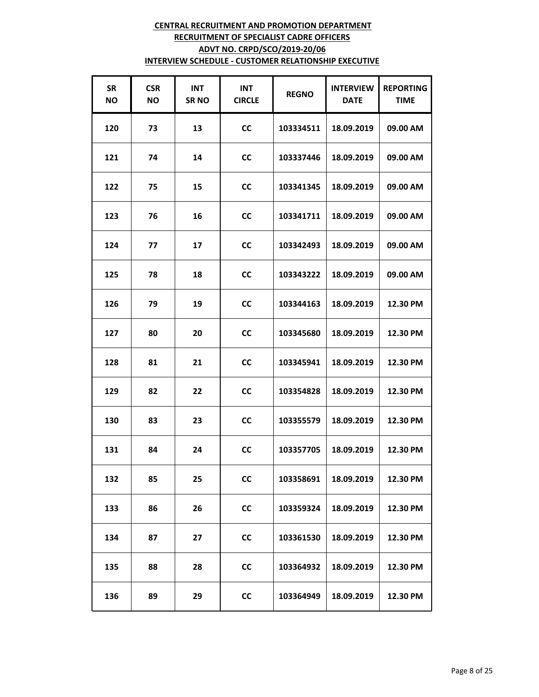| <b>SR</b><br><b>NO</b> | <b>CSR</b><br>NO. | <b>INT</b><br><b>SRNO</b> | <b>INT</b><br><b>CIRCLE</b> | <b>REGNO</b> | <b>INTERVIEW</b><br><b>DATE</b> | <b>REPORTING</b><br><b>TIME</b> |
|------------------------|-------------------|---------------------------|-----------------------------|--------------|---------------------------------|---------------------------------|
| 120                    | 73                | 13                        | <b>CC</b>                   | 103334511    | 18.09.2019                      | 09.00 AM                        |
| 121                    | 74                | 14                        | <b>CC</b>                   | 103337446    | 18.09.2019                      | 09.00 AM                        |
| 122                    | 75                | 15                        | <b>CC</b>                   | 103341345    | 18.09.2019                      | 09.00 AM                        |
| 123                    | 76                | 16                        | <b>CC</b>                   | 103341711    | 18.09.2019                      | 09.00 AM                        |
| 124                    | 77                | 17                        | <b>CC</b>                   | 103342493    | 18.09.2019                      | 09.00 AM                        |
| 125                    | 78                | 18                        | <b>CC</b>                   | 103343222    | 18.09.2019                      | 09.00 AM                        |
| 126                    | 79                | 19                        | <b>CC</b>                   | 103344163    | 18.09.2019                      | 12.30 PM                        |
| 127                    | 80                | 20                        | <b>CC</b>                   | 103345680    | 18.09.2019                      | 12.30 PM                        |
| 128                    | 81                | 21                        | <b>CC</b>                   | 103345941    | 18.09.2019                      | 12.30 PM                        |
| 129                    | 82                | 22                        | <b>CC</b>                   | 103354828    | 18.09.2019                      | 12.30 PM                        |
| 130                    | 83                | 23                        | <b>CC</b>                   | 103355579    | 18.09.2019                      | 12.30 PM                        |
| 131                    | 84                | 24                        | <b>CC</b>                   | 103357705    | 18.09.2019                      | 12.30 PM                        |
| 132                    | 85                | 25                        | <b>CC</b>                   | 103358691    | 18.09.2019                      | 12.30 PM                        |
| 133                    | 86                | 26                        | <b>CC</b>                   | 103359324    | 18.09.2019                      | 12.30 PM                        |
| 134                    | 87                | 27                        | cc                          | 103361530    | 18.09.2019                      | 12.30 PM                        |
| 135                    | 88                | 28                        | <b>CC</b>                   | 103364932    | 18.09.2019                      | 12.30 PM                        |
| 136                    | 89                | 29                        | <b>CC</b>                   | 103364949    | 18.09.2019                      | 12.30 PM                        |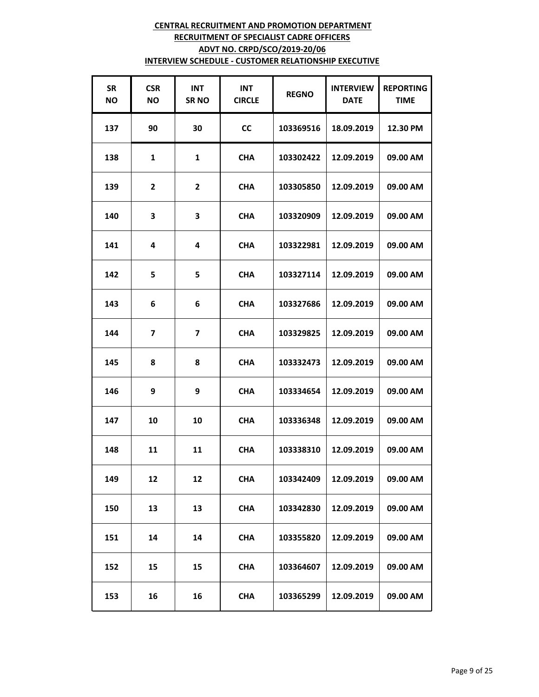| <b>SR</b><br><b>NO</b> | <b>CSR</b><br>ΝO        | <b>INT</b><br><b>SRNO</b> | <b>INT</b><br><b>CIRCLE</b> | <b>REGNO</b> | <b>INTERVIEW</b><br><b>DATE</b> | <b>REPORTING</b><br><b>TIME</b> |
|------------------------|-------------------------|---------------------------|-----------------------------|--------------|---------------------------------|---------------------------------|
| 137                    | 90                      | 30                        | <b>CC</b>                   | 103369516    | 18.09.2019                      | 12.30 PM                        |
| 138                    | 1                       | $\mathbf{1}$              | <b>CHA</b>                  | 103302422    | 12.09.2019                      | 09.00 AM                        |
| 139                    | $\mathbf{2}$            | 2                         | <b>CHA</b>                  | 103305850    | 12.09.2019                      | 09.00 AM                        |
| 140                    | 3                       | 3                         | <b>CHA</b>                  | 103320909    | 12.09.2019                      | 09.00 AM                        |
| 141                    | 4                       | 4                         | <b>CHA</b>                  | 103322981    | 12.09.2019                      | 09.00 AM                        |
| 142                    | 5                       | 5                         | <b>CHA</b>                  | 103327114    | 12.09.2019                      | 09.00 AM                        |
| 143                    | 6                       | 6                         | <b>CHA</b>                  | 103327686    | 12.09.2019                      | 09.00 AM                        |
| 144                    | $\overline{\mathbf{z}}$ | $\overline{\mathbf{z}}$   | <b>CHA</b>                  | 103329825    | 12.09.2019                      | 09.00 AM                        |
| 145                    | 8                       | 8                         | <b>CHA</b>                  | 103332473    | 12.09.2019                      | 09.00 AM                        |
| 146                    | 9                       | 9                         | <b>CHA</b>                  | 103334654    | 12.09.2019                      | 09.00 AM                        |
| 147                    | 10                      | 10                        | <b>CHA</b>                  | 103336348    | 12.09.2019                      | 09.00 AM                        |
| 148                    | 11                      | 11                        | <b>CHA</b>                  | 103338310    | 12.09.2019                      | 09.00 AM                        |
| 149                    | 12                      | 12                        | <b>CHA</b>                  | 103342409    | 12.09.2019                      | 09.00 AM                        |
| 150                    | 13                      | 13                        | <b>CHA</b>                  | 103342830    | 12.09.2019                      | 09.00 AM                        |
| 151                    | 14                      | 14                        | <b>CHA</b>                  | 103355820    | 12.09.2019                      | 09.00 AM                        |
| 152                    | 15                      | 15                        | <b>CHA</b>                  | 103364607    | 12.09.2019                      | 09.00 AM                        |
| 153                    | 16                      | 16                        | <b>CHA</b>                  | 103365299    | 12.09.2019                      | 09.00 AM                        |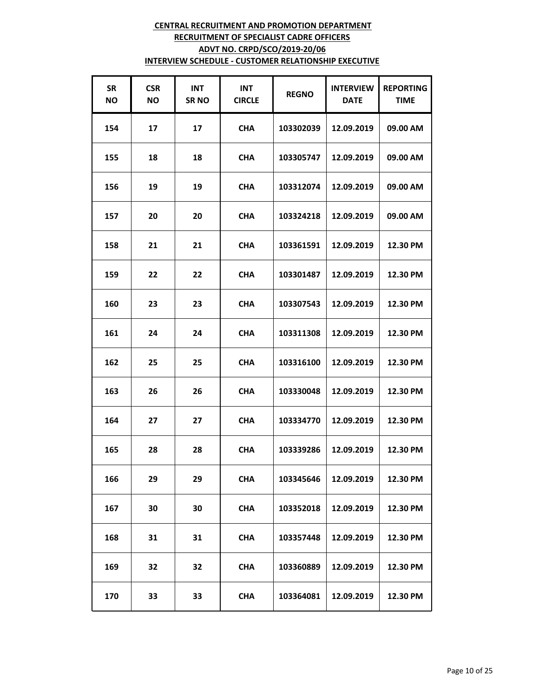| <b>SR</b><br><b>NO</b> | <b>CSR</b><br>ΝO | <b>INT</b><br><b>SRNO</b> | <b>INT</b><br><b>CIRCLE</b> | <b>REGNO</b> | <b>INTERVIEW</b><br><b>DATE</b> | <b>REPORTING</b><br><b>TIME</b> |
|------------------------|------------------|---------------------------|-----------------------------|--------------|---------------------------------|---------------------------------|
| 154                    | 17               | 17                        | <b>CHA</b>                  | 103302039    | 12.09.2019                      | 09.00 AM                        |
| 155                    | 18               | 18                        | <b>CHA</b>                  | 103305747    | 12.09.2019                      | 09.00 AM                        |
| 156                    | 19               | 19                        | <b>CHA</b>                  | 103312074    | 12.09.2019                      | 09.00 AM                        |
| 157                    | 20               | 20                        | <b>CHA</b>                  | 103324218    | 12.09.2019                      | 09.00 AM                        |
| 158                    | 21               | 21                        | <b>CHA</b>                  | 103361591    | 12.09.2019                      | 12.30 PM                        |
| 159                    | 22               | 22                        | <b>CHA</b>                  | 103301487    | 12.09.2019                      | 12.30 PM                        |
| 160                    | 23               | 23                        | <b>CHA</b>                  | 103307543    | 12.09.2019                      | 12.30 PM                        |
| 161                    | 24               | 24                        | <b>CHA</b>                  | 103311308    | 12.09.2019                      | 12.30 PM                        |
| 162                    | 25               | 25                        | <b>CHA</b>                  | 103316100    | 12.09.2019                      | 12.30 PM                        |
| 163                    | 26               | 26                        | <b>CHA</b>                  | 103330048    | 12.09.2019                      | 12.30 PM                        |
| 164                    | 27               | 27                        | <b>CHA</b>                  | 103334770    | 12.09.2019                      | 12.30 PM                        |
| 165                    | 28               | 28                        | <b>CHA</b>                  | 103339286    | 12.09.2019                      | 12.30 PM                        |
| 166                    | 29               | 29                        | <b>CHA</b>                  | 103345646    | 12.09.2019                      | 12.30 PM                        |
| 167                    | 30               | 30                        | <b>CHA</b>                  | 103352018    | 12.09.2019                      | 12.30 PM                        |
| 168                    | 31               | 31                        | <b>CHA</b>                  | 103357448    | 12.09.2019                      | 12.30 PM                        |
| 169                    | 32               | 32                        | <b>CHA</b>                  | 103360889    | 12.09.2019                      | 12.30 PM                        |
| 170                    | 33               | 33                        | <b>CHA</b>                  | 103364081    | 12.09.2019                      | 12.30 PM                        |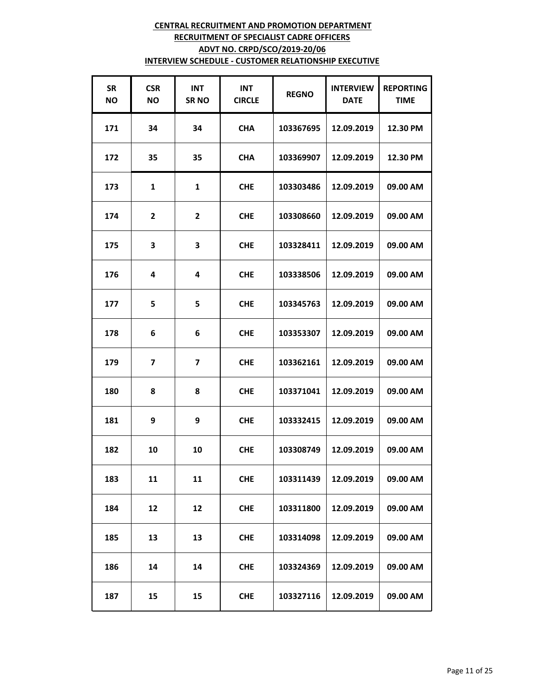| <b>SR</b><br><b>NO</b> | <b>CSR</b><br>ΝO        | <b>INT</b><br><b>SRNO</b> | <b>INT</b><br><b>CIRCLE</b> | <b>REGNO</b> | <b>INTERVIEW</b><br><b>DATE</b> | <b>REPORTING</b><br><b>TIME</b> |
|------------------------|-------------------------|---------------------------|-----------------------------|--------------|---------------------------------|---------------------------------|
| 171                    | 34                      | 34                        | <b>CHA</b>                  | 103367695    | 12.09.2019                      | 12.30 PM                        |
| 172                    | 35                      | 35                        | <b>CHA</b>                  | 103369907    | 12.09.2019                      | 12.30 PM                        |
| 173                    | 1                       | $\mathbf{1}$              | <b>CHE</b>                  | 103303486    | 12.09.2019                      | 09.00 AM                        |
| 174                    | $\overline{2}$          | $\overline{\mathbf{2}}$   | <b>CHE</b>                  | 103308660    | 12.09.2019                      | 09.00 AM                        |
| 175                    | 3                       | 3                         | <b>CHE</b>                  | 103328411    | 12.09.2019                      | 09.00 AM                        |
| 176                    | 4                       | 4                         | <b>CHE</b>                  | 103338506    | 12.09.2019                      | 09.00 AM                        |
| 177                    | 5                       | 5                         | <b>CHE</b>                  | 103345763    | 12.09.2019                      | 09.00 AM                        |
| 178                    | 6                       | 6                         | <b>CHE</b>                  | 103353307    | 12.09.2019                      | 09.00 AM                        |
| 179                    | $\overline{\mathbf{z}}$ | $\overline{\mathbf{z}}$   | <b>CHE</b>                  | 103362161    | 12.09.2019                      | 09.00 AM                        |
| 180                    | 8                       | 8                         | <b>CHE</b>                  | 103371041    | 12.09.2019                      | 09.00 AM                        |
| 181                    | 9                       | 9                         | <b>CHE</b>                  | 103332415    | 12.09.2019                      | 09.00 AM                        |
| 182                    | 10                      | 10                        | <b>CHE</b>                  | 103308749    | 12.09.2019                      | 09.00 AM                        |
| 183                    | 11                      | 11                        | <b>CHE</b>                  | 103311439    | 12.09.2019                      | 09.00 AM                        |
| 184                    | 12                      | 12                        | <b>CHE</b>                  | 103311800    | 12.09.2019                      | 09.00 AM                        |
| 185                    | 13                      | 13                        | <b>CHE</b>                  | 103314098    | 12.09.2019                      | 09.00 AM                        |
| 186                    | 14                      | 14                        | <b>CHE</b>                  | 103324369    | 12.09.2019                      | 09.00 AM                        |
| 187                    | 15                      | 15                        | <b>CHE</b>                  | 103327116    | 12.09.2019                      | 09.00 AM                        |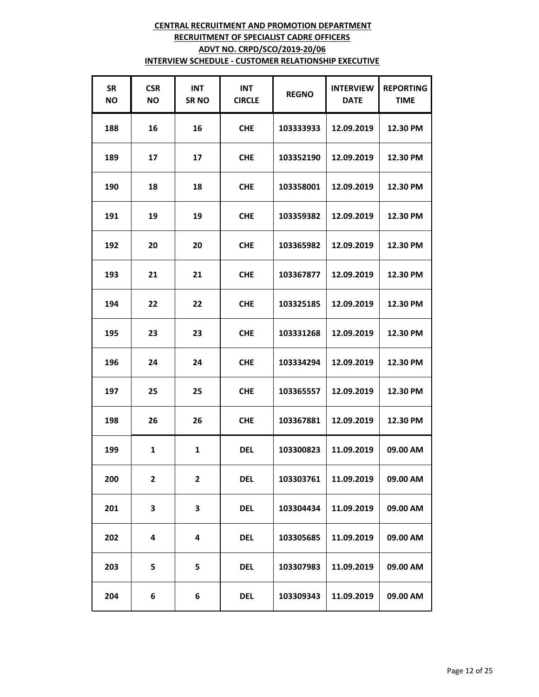| <b>SR</b><br><b>NO</b> | <b>CSR</b><br><b>NO</b> | <b>INT</b><br><b>SRNO</b> | <b>INT</b><br><b>CIRCLE</b> | <b>REGNO</b> | <b>INTERVIEW</b><br><b>DATE</b> | <b>REPORTING</b><br><b>TIME</b> |
|------------------------|-------------------------|---------------------------|-----------------------------|--------------|---------------------------------|---------------------------------|
| 188                    | 16                      | 16                        | <b>CHE</b>                  | 103333933    | 12.09.2019                      | 12.30 PM                        |
| 189                    | 17                      | 17                        | <b>CHE</b>                  | 103352190    | 12.09.2019                      | 12.30 PM                        |
| 190                    | 18                      | 18                        | <b>CHE</b>                  | 103358001    | 12.09.2019                      | 12.30 PM                        |
| 191                    | 19                      | 19                        | <b>CHE</b>                  | 103359382    | 12.09.2019                      | 12.30 PM                        |
| 192                    | 20                      | 20                        | <b>CHE</b>                  | 103365982    | 12.09.2019                      | 12.30 PM                        |
| 193                    | 21                      | 21                        | <b>CHE</b>                  | 103367877    | 12.09.2019                      | 12.30 PM                        |
| 194                    | 22                      | 22                        | <b>CHE</b>                  | 103325185    | 12.09.2019                      | 12.30 PM                        |
| 195                    | 23                      | 23                        | <b>CHE</b>                  | 103331268    | 12.09.2019                      | 12.30 PM                        |
| 196                    | 24                      | 24                        | <b>CHE</b>                  | 103334294    | 12.09.2019                      | 12.30 PM                        |
| 197                    | 25                      | 25                        | <b>CHE</b>                  | 103365557    | 12.09.2019                      | 12.30 PM                        |
| 198                    | 26                      | 26                        | <b>CHE</b>                  | 103367881    | 12.09.2019                      | 12.30 PM                        |
| 199                    | $\mathbf{1}$            | $\mathbf{1}$              | <b>DEL</b>                  | 103300823    | 11.09.2019                      | 09.00 AM                        |
| 200                    | $\mathbf{2}$            | $\mathbf{2}$              | <b>DEL</b>                  | 103303761    | 11.09.2019                      | 09.00 AM                        |
| 201                    | 3                       | 3                         | <b>DEL</b>                  | 103304434    | 11.09.2019                      | 09.00 AM                        |
| 202                    | 4                       | 4                         | <b>DEL</b>                  | 103305685    | 11.09.2019                      | 09.00 AM                        |
| 203                    | 5                       | 5                         | <b>DEL</b>                  | 103307983    | 11.09.2019                      | 09.00 AM                        |
| 204                    | 6                       | 6                         | <b>DEL</b>                  | 103309343    | 11.09.2019                      | 09.00 AM                        |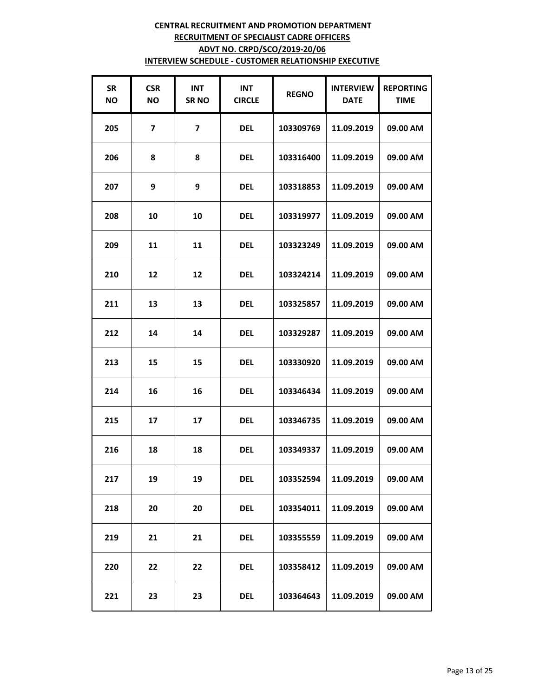| <b>SR</b><br><b>NO</b> | <b>CSR</b><br>ΝO | <b>INT</b><br><b>SRNO</b> | <b>INT</b><br><b>CIRCLE</b> | <b>REGNO</b> | <b>INTERVIEW</b><br><b>DATE</b> | <b>REPORTING</b><br><b>TIME</b> |
|------------------------|------------------|---------------------------|-----------------------------|--------------|---------------------------------|---------------------------------|
| 205                    | 7                | 7                         | <b>DEL</b>                  | 103309769    | 11.09.2019                      | 09.00 AM                        |
| 206                    | 8                | 8                         | <b>DEL</b>                  | 103316400    | 11.09.2019                      | 09.00 AM                        |
| 207                    | 9                | 9                         | <b>DEL</b>                  | 103318853    | 11.09.2019                      | 09.00 AM                        |
| 208                    | 10               | 10                        | <b>DEL</b>                  | 103319977    | 11.09.2019                      | 09.00 AM                        |
| 209                    | 11               | 11                        | <b>DEL</b>                  | 103323249    | 11.09.2019                      | 09.00 AM                        |
| 210                    | 12               | 12                        | <b>DEL</b>                  | 103324214    | 11.09.2019                      | 09.00 AM                        |
| 211                    | 13               | 13                        | del                         | 103325857    | 11.09.2019                      | 09.00 AM                        |
| 212                    | 14               | 14                        | <b>DEL</b>                  | 103329287    | 11.09.2019                      | 09.00 AM                        |
| 213                    | 15               | 15                        | <b>DEL</b>                  | 103330920    | 11.09.2019                      | 09.00 AM                        |
| 214                    | 16               | 16                        | del                         | 103346434    | 11.09.2019                      | 09.00 AM                        |
| 215                    | 17               | 17                        | del                         | 103346735    | 11.09.2019                      | 09.00 AM                        |
| 216                    | 18               | 18                        | <b>DEL</b>                  | 103349337    | 11.09.2019                      | 09.00 AM                        |
| 217                    | 19               | 19                        | <b>DEL</b>                  | 103352594    | 11.09.2019                      | 09.00 AM                        |
| 218                    | 20               | 20                        | <b>DEL</b>                  | 103354011    | 11.09.2019                      | 09.00 AM                        |
| 219                    | 21               | 21                        | <b>DEL</b>                  | 103355559    | 11.09.2019                      | 09.00 AM                        |
| 220                    | 22               | 22                        | <b>DEL</b>                  | 103358412    | 11.09.2019                      | 09.00 AM                        |
| 221                    | 23               | 23                        | <b>DEL</b>                  | 103364643    | 11.09.2019                      | 09.00 AM                        |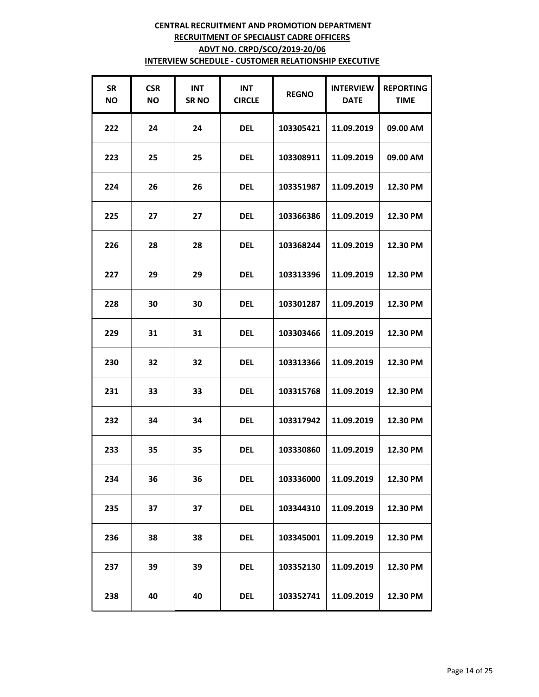| <b>SR</b><br><b>NO</b> | <b>CSR</b><br>ΝO | <b>INT</b><br><b>SRNO</b> | <b>INT</b><br><b>CIRCLE</b> | <b>REGNO</b> | <b>INTERVIEW</b><br><b>DATE</b> | <b>REPORTING</b><br><b>TIME</b> |
|------------------------|------------------|---------------------------|-----------------------------|--------------|---------------------------------|---------------------------------|
| 222                    | 24               | 24                        | <b>DEL</b>                  | 103305421    | 11.09.2019                      | 09.00 AM                        |
| 223                    | 25               | 25                        | <b>DEL</b>                  | 103308911    | 11.09.2019                      | 09.00 AM                        |
| 224                    | 26               | 26                        | <b>DEL</b>                  | 103351987    | 11.09.2019                      | 12.30 PM                        |
| 225                    | 27               | 27                        | <b>DEL</b>                  | 103366386    | 11.09.2019                      | 12.30 PM                        |
| 226                    | 28               | 28                        | <b>DEL</b>                  | 103368244    | 11.09.2019                      | 12.30 PM                        |
| 227                    | 29               | 29                        | <b>DEL</b>                  | 103313396    | 11.09.2019                      | 12.30 PM                        |
| 228                    | 30               | 30                        | <b>DEL</b>                  | 103301287    | 11.09.2019                      | 12.30 PM                        |
| 229                    | 31               | 31                        | <b>DEL</b>                  | 103303466    | 11.09.2019                      | 12.30 PM                        |
| 230                    | 32               | 32                        | <b>DEL</b>                  | 103313366    | 11.09.2019                      | 12.30 PM                        |
| 231                    | 33               | 33                        | <b>DEL</b>                  | 103315768    | 11.09.2019                      | 12.30 PM                        |
| 232                    | 34               | 34                        | <b>DEL</b>                  | 103317942    | 11.09.2019                      | 12.30 PM                        |
| 233                    | 35               | 35                        | <b>DEL</b>                  | 103330860    | 11.09.2019                      | 12.30 PM                        |
| 234                    | 36               | 36                        | <b>DEL</b>                  | 103336000    | 11.09.2019                      | 12.30 PM                        |
| 235                    | 37               | 37                        | del                         | 103344310    | 11.09.2019                      | 12.30 PM                        |
| 236                    | 38               | 38                        | <b>DEL</b>                  | 103345001    | 11.09.2019                      | 12.30 PM                        |
| 237                    | 39               | 39                        | <b>DEL</b>                  | 103352130    | 11.09.2019                      | 12.30 PM                        |
| 238                    | 40               | 40                        | <b>DEL</b>                  | 103352741    | 11.09.2019                      | 12.30 PM                        |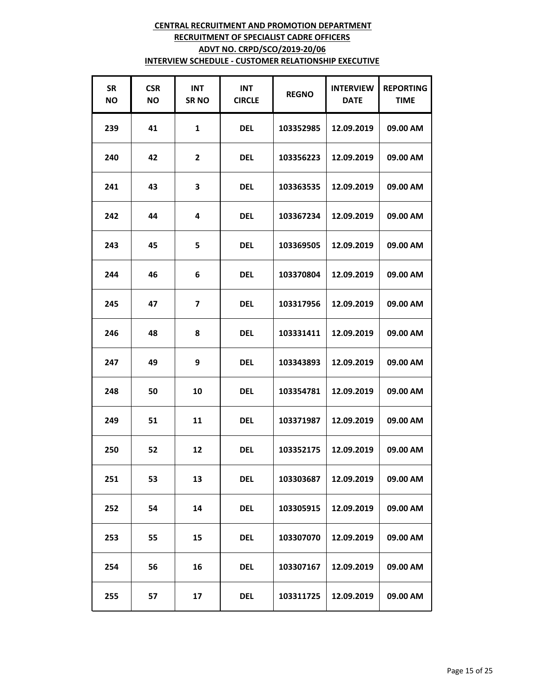| <b>SR</b><br><b>NO</b> | <b>CSR</b><br>ΝO | <b>INT</b><br><b>SRNO</b> | <b>INT</b><br><b>CIRCLE</b> | <b>REGNO</b> | <b>INTERVIEW</b><br><b>DATE</b> | <b>REPORTING</b><br><b>TIME</b> |
|------------------------|------------------|---------------------------|-----------------------------|--------------|---------------------------------|---------------------------------|
| 239                    | 41               | $\mathbf{1}$              | <b>DEL</b>                  | 103352985    | 12.09.2019                      | 09.00 AM                        |
| 240                    | 42               | $\overline{2}$            | <b>DEL</b>                  | 103356223    | 12.09.2019                      | 09.00 AM                        |
| 241                    | 43               | 3                         | <b>DEL</b>                  | 103363535    | 12.09.2019                      | 09.00 AM                        |
| 242                    | 44               | 4                         | <b>DEL</b>                  | 103367234    | 12.09.2019                      | 09.00 AM                        |
| 243                    | 45               | 5                         | <b>DEL</b>                  | 103369505    | 12.09.2019                      | 09.00 AM                        |
| 244                    | 46               | 6                         | <b>DEL</b>                  | 103370804    | 12.09.2019                      | 09.00 AM                        |
| 245                    | 47               | 7                         | <b>DEL</b>                  | 103317956    | 12.09.2019                      | 09.00 AM                        |
| 246                    | 48               | 8                         | <b>DEL</b>                  | 103331411    | 12.09.2019                      | 09.00 AM                        |
| 247                    | 49               | 9                         | <b>DEL</b>                  | 103343893    | 12.09.2019                      | 09.00 AM                        |
| 248                    | 50               | 10                        | <b>DEL</b>                  | 103354781    | 12.09.2019                      | 09.00 AM                        |
| 249                    | 51               | 11                        | <b>DEL</b>                  | 103371987    | 12.09.2019                      | 09.00 AM                        |
| 250                    | 52               | 12                        | <b>DEL</b>                  | 103352175    | 12.09.2019                      | 09.00 AM                        |
| 251                    | 53               | 13                        | <b>DEL</b>                  | 103303687    | 12.09.2019                      | 09.00 AM                        |
| 252                    | 54               | 14                        | del                         | 103305915    | 12.09.2019                      | 09.00 AM                        |
| 253                    | 55               | 15                        | <b>DEL</b>                  | 103307070    | 12.09.2019                      | 09.00 AM                        |
| 254                    | 56               | 16                        | <b>DEL</b>                  | 103307167    | 12.09.2019                      | 09.00 AM                        |
| 255                    | 57               | 17                        | <b>DEL</b>                  | 103311725    | 12.09.2019                      | 09.00 AM                        |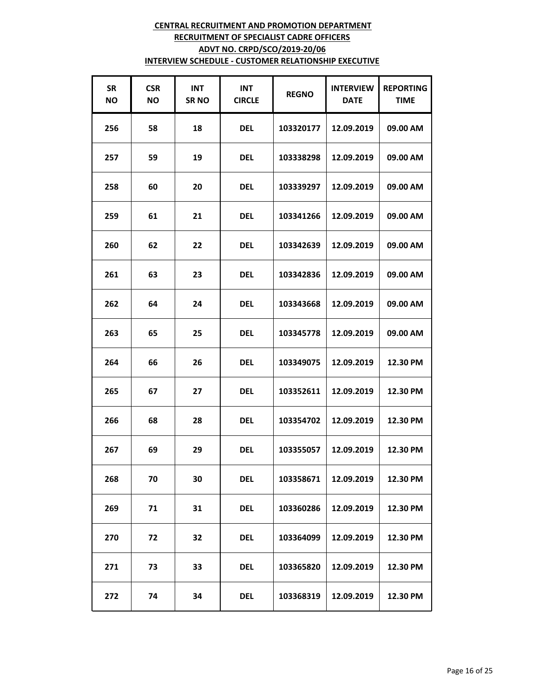| <b>SR</b><br><b>NO</b> | <b>CSR</b><br>ΝO | <b>INT</b><br><b>SRNO</b> | <b>INT</b><br><b>CIRCLE</b> | <b>REGNO</b> | <b>INTERVIEW</b><br><b>DATE</b> | <b>REPORTING</b><br><b>TIME</b> |
|------------------------|------------------|---------------------------|-----------------------------|--------------|---------------------------------|---------------------------------|
| 256                    | 58               | 18                        | <b>DEL</b>                  | 103320177    | 12.09.2019                      | 09.00 AM                        |
| 257                    | 59               | 19                        | <b>DEL</b>                  | 103338298    | 12.09.2019                      | 09.00 AM                        |
| 258                    | 60               | 20                        | <b>DEL</b>                  | 103339297    | 12.09.2019                      | 09.00 AM                        |
| 259                    | 61               | 21                        | <b>DEL</b>                  | 103341266    | 12.09.2019                      | 09.00 AM                        |
| 260                    | 62               | 22                        | <b>DEL</b>                  | 103342639    | 12.09.2019                      | 09.00 AM                        |
| 261                    | 63               | 23                        | <b>DEL</b>                  | 103342836    | 12.09.2019                      | 09.00 AM                        |
| 262                    | 64               | 24                        | <b>DEL</b>                  | 103343668    | 12.09.2019                      | 09.00 AM                        |
| 263                    | 65               | 25                        | <b>DEL</b>                  | 103345778    | 12.09.2019                      | 09.00 AM                        |
| 264                    | 66               | 26                        | <b>DEL</b>                  | 103349075    | 12.09.2019                      | 12.30 PM                        |
| 265                    | 67               | 27                        | <b>DEL</b>                  | 103352611    | 12.09.2019                      | 12.30 PM                        |
| 266                    | 68               | 28                        | <b>DEL</b>                  | 103354702    | 12.09.2019                      | 12.30 PM                        |
| 267                    | 69               | 29                        | <b>DEL</b>                  | 103355057    | 12.09.2019                      | 12.30 PM                        |
| 268                    | 70               | 30                        | <b>DEL</b>                  | 103358671    | 12.09.2019                      | 12.30 PM                        |
| 269                    | 71               | 31                        | <b>DEL</b>                  | 103360286    | 12.09.2019                      | 12.30 PM                        |
| 270                    | 72               | 32                        | <b>DEL</b>                  | 103364099    | 12.09.2019                      | 12.30 PM                        |
| 271                    | 73               | 33                        | <b>DEL</b>                  | 103365820    | 12.09.2019                      | 12.30 PM                        |
| 272                    | 74               | 34                        | <b>DEL</b>                  | 103368319    | 12.09.2019                      | 12.30 PM                        |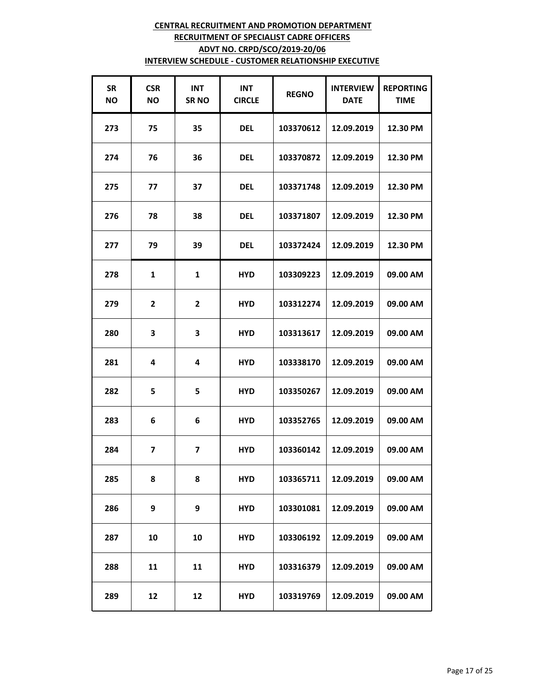| <b>SR</b><br><b>NO</b> | <b>CSR</b><br>NO.       | <b>INT</b><br><b>SRNO</b> | <b>INT</b><br><b>CIRCLE</b> | <b>REGNO</b> | <b>INTERVIEW</b><br><b>DATE</b> | <b>REPORTING</b><br><b>TIME</b> |
|------------------------|-------------------------|---------------------------|-----------------------------|--------------|---------------------------------|---------------------------------|
| 273                    | 75                      | 35                        | <b>DEL</b>                  | 103370612    | 12.09.2019                      | 12.30 PM                        |
| 274                    | 76                      | 36                        | <b>DEL</b>                  | 103370872    | 12.09.2019                      | 12.30 PM                        |
| 275                    | 77                      | 37                        | <b>DEL</b>                  | 103371748    | 12.09.2019                      | 12.30 PM                        |
| 276                    | 78                      | 38                        | <b>DEL</b>                  | 103371807    | 12.09.2019                      | 12.30 PM                        |
| 277                    | 79                      | 39                        | <b>DEL</b>                  | 103372424    | 12.09.2019                      | 12.30 PM                        |
| 278                    | 1                       | $\mathbf{1}$              | <b>HYD</b>                  | 103309223    | 12.09.2019                      | 09.00 AM                        |
| 279                    | $\mathbf{2}$            | $\overline{\mathbf{2}}$   | <b>HYD</b>                  | 103312274    | 12.09.2019                      | 09.00 AM                        |
| 280                    | 3                       | 3                         | <b>HYD</b>                  | 103313617    | 12.09.2019                      | 09.00 AM                        |
| 281                    | 4                       | 4                         | <b>HYD</b>                  | 103338170    | 12.09.2019                      | 09.00 AM                        |
| 282                    | 5                       | 5                         | <b>HYD</b>                  | 103350267    | 12.09.2019                      | 09.00 AM                        |
| 283                    | 6                       | 6                         | <b>HYD</b>                  | 103352765    | 12.09.2019                      | 09.00 AM                        |
| 284                    | $\overline{\mathbf{z}}$ | $\overline{\mathbf{z}}$   | <b>HYD</b>                  | 103360142    | 12.09.2019                      | 09.00 AM                        |
| 285                    | 8                       | 8                         | <b>HYD</b>                  | 103365711    | 12.09.2019                      | 09.00 AM                        |
| 286                    | 9                       | 9                         | <b>HYD</b>                  | 103301081    | 12.09.2019                      | 09.00 AM                        |
| 287                    | 10                      | 10                        | <b>HYD</b>                  | 103306192    | 12.09.2019                      | 09.00 AM                        |
| 288                    | 11                      | 11                        | <b>HYD</b>                  | 103316379    | 12.09.2019                      | 09.00 AM                        |
| 289                    | 12                      | 12                        | <b>HYD</b>                  | 103319769    | 12.09.2019                      | 09.00 AM                        |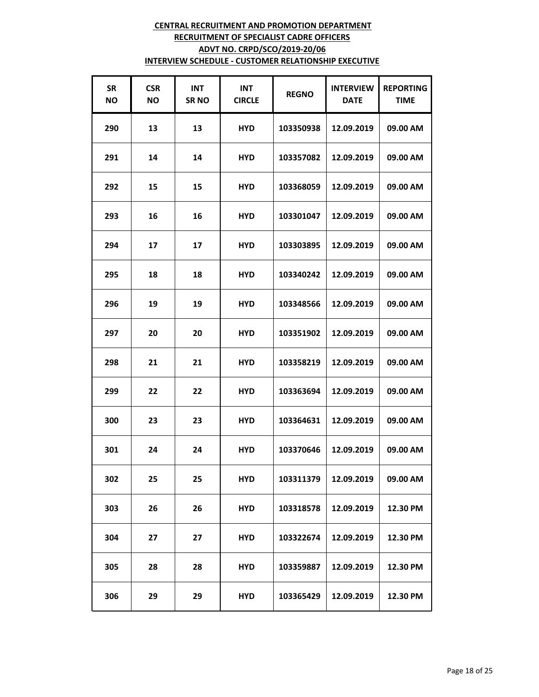| <b>SR</b><br><b>NO</b> | <b>CSR</b><br>ΝO | <b>INT</b><br><b>SRNO</b> | <b>INT</b><br><b>CIRCLE</b> | <b>REGNO</b> | <b>INTERVIEW</b><br><b>DATE</b> | <b>REPORTING</b><br><b>TIME</b> |
|------------------------|------------------|---------------------------|-----------------------------|--------------|---------------------------------|---------------------------------|
| 290                    | 13               | 13                        | <b>HYD</b>                  | 103350938    | 12.09.2019                      | 09.00 AM                        |
| 291                    | 14               | 14                        | <b>HYD</b>                  | 103357082    | 12.09.2019                      | 09.00 AM                        |
| 292                    | 15               | 15                        | <b>HYD</b>                  | 103368059    | 12.09.2019                      | 09.00 AM                        |
| 293                    | 16               | 16                        | <b>HYD</b>                  | 103301047    | 12.09.2019                      | 09.00 AM                        |
| 294                    | 17               | 17                        | <b>HYD</b>                  | 103303895    | 12.09.2019                      | 09.00 AM                        |
| 295                    | 18               | 18                        | <b>HYD</b>                  | 103340242    | 12.09.2019                      | 09.00 AM                        |
| 296                    | 19               | 19                        | <b>HYD</b>                  | 103348566    | 12.09.2019                      | 09.00 AM                        |
| 297                    | 20               | 20                        | <b>HYD</b>                  | 103351902    | 12.09.2019                      | 09.00 AM                        |
| 298                    | 21               | 21                        | <b>HYD</b>                  | 103358219    | 12.09.2019                      | 09.00 AM                        |
| 299                    | 22               | 22                        | <b>HYD</b>                  | 103363694    | 12.09.2019                      | 09.00 AM                        |
| 300                    | 23               | 23                        | <b>HYD</b>                  | 103364631    | 12.09.2019                      | 09.00 AM                        |
| 301                    | 24               | 24                        | <b>HYD</b>                  | 103370646    | 12.09.2019                      | 09.00 AM                        |
| 302                    | 25               | 25                        | <b>HYD</b>                  | 103311379    | 12.09.2019                      | 09.00 AM                        |
| 303                    | 26               | 26                        | <b>HYD</b>                  | 103318578    | 12.09.2019                      | 12.30 PM                        |
| 304                    | 27               | 27                        | <b>HYD</b>                  | 103322674    | 12.09.2019                      | 12.30 PM                        |
| 305                    | 28               | 28                        | <b>HYD</b>                  | 103359887    | 12.09.2019                      | 12.30 PM                        |
| 306                    | 29               | 29                        | <b>HYD</b>                  | 103365429    | 12.09.2019                      | 12.30 PM                        |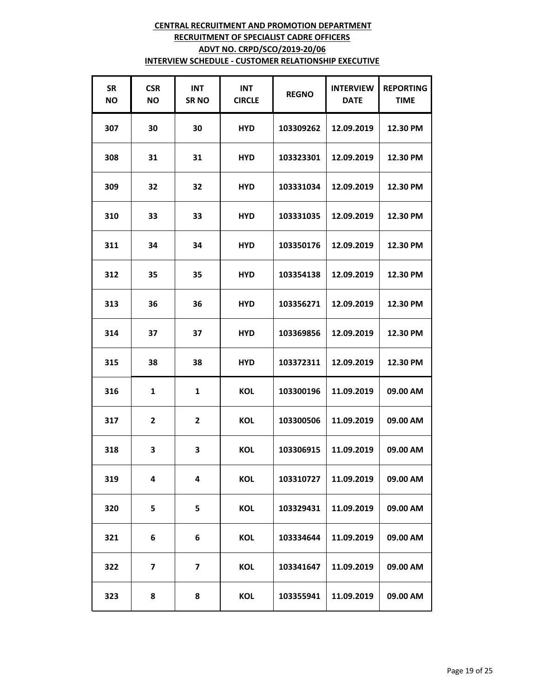| <b>SR</b><br><b>NO</b> | <b>CSR</b><br>ΝO | <b>INT</b><br><b>SRNO</b> | <b>INT</b><br><b>CIRCLE</b> | <b>REGNO</b> | <b>INTERVIEW</b><br><b>DATE</b> | <b>REPORTING</b><br><b>TIME</b> |
|------------------------|------------------|---------------------------|-----------------------------|--------------|---------------------------------|---------------------------------|
| 307                    | 30               | 30                        | <b>HYD</b>                  | 103309262    | 12.09.2019                      | 12.30 PM                        |
| 308                    | 31               | 31                        | <b>HYD</b>                  | 103323301    | 12.09.2019                      | 12.30 PM                        |
| 309                    | 32               | 32                        | <b>HYD</b>                  | 103331034    | 12.09.2019                      | 12.30 PM                        |
| 310                    | 33               | 33                        | <b>HYD</b>                  | 103331035    | 12.09.2019                      | 12.30 PM                        |
| 311                    | 34               | 34                        | <b>HYD</b>                  | 103350176    | 12.09.2019                      | 12.30 PM                        |
| 312                    | 35               | 35                        | <b>HYD</b>                  | 103354138    | 12.09.2019                      | 12.30 PM                        |
| 313                    | 36               | 36                        | <b>HYD</b>                  | 103356271    | 12.09.2019                      | 12.30 PM                        |
| 314                    | 37               | 37                        | <b>HYD</b>                  | 103369856    | 12.09.2019                      | 12.30 PM                        |
| 315                    | 38               | 38                        | <b>HYD</b>                  | 103372311    | 12.09.2019                      | 12.30 PM                        |
| 316                    | $\mathbf{1}$     | $\mathbf{1}$              | <b>KOL</b>                  | 103300196    | 11.09.2019                      | 09.00 AM                        |
| 317                    | $\overline{2}$   | $\mathbf{2}$              | <b>KOL</b>                  | 103300506    | 11.09.2019                      | 09.00 AM                        |
| 318                    | 3                | 3                         | <b>KOL</b>                  | 103306915    | 11.09.2019                      | 09.00 AM                        |
| 319                    | 4                | 4                         | KOL                         | 103310727    | 11.09.2019                      | 09.00 AM                        |
| 320                    | 5                | 5                         | KOL                         | 103329431    | 11.09.2019                      | 09.00 AM                        |
| 321                    | 6                | 6                         | KOL                         | 103334644    | 11.09.2019                      | 09.00 AM                        |
| 322                    | 7                | 7                         | KOL                         | 103341647    | 11.09.2019                      | 09.00 AM                        |
| 323                    | 8                | 8                         | KOL                         | 103355941    | 11.09.2019                      | 09.00 AM                        |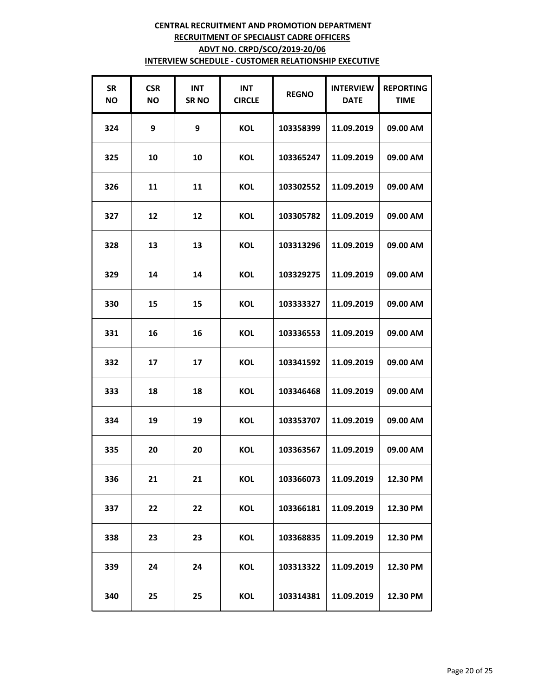| <b>SR</b><br><b>NO</b> | <b>CSR</b><br>ΝO | <b>INT</b><br><b>SRNO</b> | <b>INT</b><br><b>CIRCLE</b> | <b>REGNO</b> | <b>INTERVIEW</b><br><b>DATE</b> | <b>REPORTING</b><br><b>TIME</b> |
|------------------------|------------------|---------------------------|-----------------------------|--------------|---------------------------------|---------------------------------|
| 324                    | 9                | 9                         | <b>KOL</b>                  | 103358399    | 11.09.2019                      | 09.00 AM                        |
| 325                    | 10               | 10                        | <b>KOL</b>                  | 103365247    | 11.09.2019                      | 09.00 AM                        |
| 326                    | 11               | 11                        | KOL                         | 103302552    | 11.09.2019                      | 09.00 AM                        |
| 327                    | 12               | 12                        | <b>KOL</b>                  | 103305782    | 11.09.2019                      | 09.00 AM                        |
| 328                    | 13               | 13                        | <b>KOL</b>                  | 103313296    | 11.09.2019                      | 09.00 AM                        |
| 329                    | 14               | 14                        | <b>KOL</b>                  | 103329275    | 11.09.2019                      | 09.00 AM                        |
| 330                    | 15               | 15                        | KOL                         | 103333327    | 11.09.2019                      | 09.00 AM                        |
| 331                    | 16               | 16                        | KOL                         | 103336553    | 11.09.2019                      | 09.00 AM                        |
| 332                    | 17               | 17                        | <b>KOL</b>                  | 103341592    | 11.09.2019                      | 09.00 AM                        |
| 333                    | 18               | 18                        | <b>KOL</b>                  | 103346468    | 11.09.2019                      | 09.00 AM                        |
| 334                    | 19               | 19                        | <b>KOL</b>                  | 103353707    | 11.09.2019                      | 09.00 AM                        |
| 335                    | 20               | 20                        | KOL                         | 103363567    | 11.09.2019                      | 09.00 AM                        |
| 336                    | 21               | 21                        | KOL                         | 103366073    | 11.09.2019                      | 12.30 PM                        |
| 337                    | 22               | 22                        | KOL                         | 103366181    | 11.09.2019                      | 12.30 PM                        |
| 338                    | 23               | 23                        | KOL                         | 103368835    | 11.09.2019                      | 12.30 PM                        |
| 339                    | 24               | 24                        | KOL                         | 103313322    | 11.09.2019                      | 12.30 PM                        |
| 340                    | 25               | 25                        | KOL                         | 103314381    | 11.09.2019                      | 12.30 PM                        |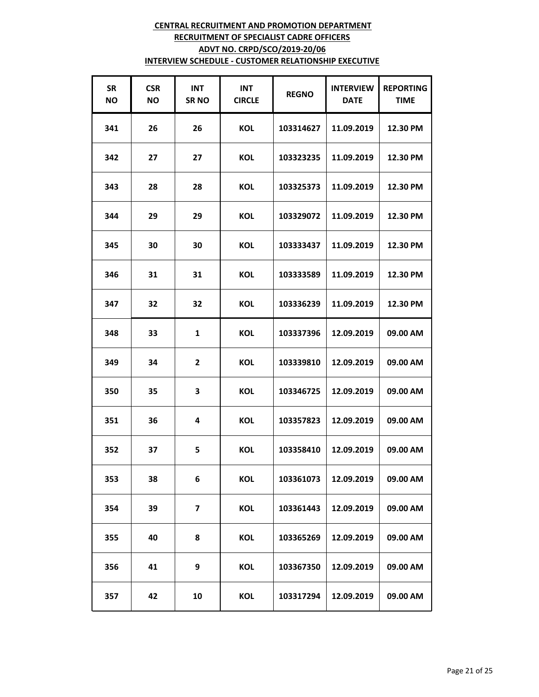| <b>SR</b><br><b>NO</b> | <b>CSR</b><br>ΝO | <b>INT</b><br><b>SRNO</b> | <b>INT</b><br><b>CIRCLE</b> | <b>REGNO</b> | <b>INTERVIEW</b><br><b>DATE</b> | <b>REPORTING</b><br><b>TIME</b> |
|------------------------|------------------|---------------------------|-----------------------------|--------------|---------------------------------|---------------------------------|
| 341                    | 26               | 26                        | <b>KOL</b>                  | 103314627    | 11.09.2019                      | 12.30 PM                        |
| 342                    | 27               | 27                        | <b>KOL</b>                  | 103323235    | 11.09.2019                      | 12.30 PM                        |
| 343                    | 28               | 28                        | KOL                         | 103325373    | 11.09.2019                      | 12.30 PM                        |
| 344                    | 29               | 29                        | <b>KOL</b>                  | 103329072    | 11.09.2019                      | 12.30 PM                        |
| 345                    | 30               | 30                        | <b>KOL</b>                  | 103333437    | 11.09.2019                      | 12.30 PM                        |
| 346                    | 31               | 31                        | <b>KOL</b>                  | 103333589    | 11.09.2019                      | 12.30 PM                        |
| 347                    | 32               | 32                        | KOL                         | 103336239    | 11.09.2019                      | 12.30 PM                        |
| 348                    | 33               | $\mathbf{1}$              | <b>KOL</b>                  | 103337396    | 12.09.2019                      | 09.00 AM                        |
| 349                    | 34               | $\overline{\mathbf{2}}$   | <b>KOL</b>                  | 103339810    | 12.09.2019                      | 09.00 AM                        |
| 350                    | 35               | 3                         | <b>KOL</b>                  | 103346725    | 12.09.2019                      | 09.00 AM                        |
| 351                    | 36               | 4                         | <b>KOL</b>                  | 103357823    | 12.09.2019                      | 09.00 AM                        |
| 352                    | 37               | 5                         | KOL                         | 103358410    | 12.09.2019                      | 09.00 AM                        |
| 353                    | 38               | 6                         | KOL                         | 103361073    | 12.09.2019                      | 09.00 AM                        |
| 354                    | 39               | 7                         | <b>KOL</b>                  | 103361443    | 12.09.2019                      | 09.00 AM                        |
| 355                    | 40               | 8                         | KOL                         | 103365269    | 12.09.2019                      | 09.00 AM                        |
| 356                    | 41               | 9                         | KOL                         | 103367350    | 12.09.2019                      | 09.00 AM                        |
| 357                    | 42               | 10                        | KOL                         | 103317294    | 12.09.2019                      | 09.00 AM                        |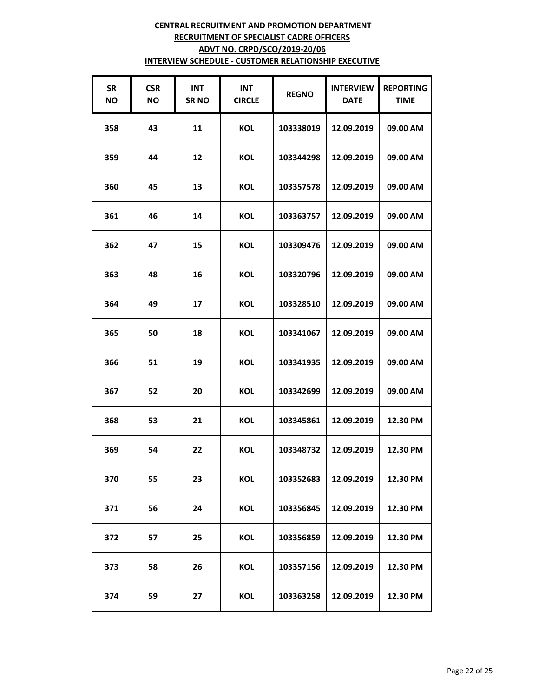| <b>SR</b><br><b>NO</b> | <b>CSR</b><br>ΝO | <b>INT</b><br><b>SRNO</b> | <b>INT</b><br><b>CIRCLE</b> | <b>REGNO</b> | <b>INTERVIEW</b><br><b>DATE</b> | <b>REPORTING</b><br><b>TIME</b> |
|------------------------|------------------|---------------------------|-----------------------------|--------------|---------------------------------|---------------------------------|
| 358                    | 43               | 11                        | <b>KOL</b>                  | 103338019    | 12.09.2019                      | 09.00 AM                        |
| 359                    | 44               | 12                        | <b>KOL</b>                  | 103344298    | 12.09.2019                      | 09.00 AM                        |
| 360                    | 45               | 13                        | KOL                         | 103357578    | 12.09.2019                      | 09.00 AM                        |
| 361                    | 46               | 14                        | <b>KOL</b>                  | 103363757    | 12.09.2019                      | 09.00 AM                        |
| 362                    | 47               | 15                        | KOL                         | 103309476    | 12.09.2019                      | 09.00 AM                        |
| 363                    | 48               | 16                        | <b>KOL</b>                  | 103320796    | 12.09.2019                      | 09.00 AM                        |
| 364                    | 49               | 17                        | KOL                         | 103328510    | 12.09.2019                      | 09.00 AM                        |
| 365                    | 50               | 18                        | KOL                         | 103341067    | 12.09.2019                      | 09.00 AM                        |
| 366                    | 51               | 19                        | KOL                         | 103341935    | 12.09.2019                      | 09.00 AM                        |
| 367                    | 52               | 20                        | KOL                         | 103342699    | 12.09.2019                      | 09.00 AM                        |
| 368                    | 53               | 21                        | KOL                         | 103345861    | 12.09.2019                      | 12.30 PM                        |
| 369                    | 54               | 22                        | KOL                         | 103348732    | 12.09.2019                      | 12.30 PM                        |
| 370                    | 55               | 23                        | KOL                         | 103352683    | 12.09.2019                      | 12.30 PM                        |
| 371                    | 56               | 24                        | KOL                         | 103356845    | 12.09.2019                      | 12.30 PM                        |
| 372                    | 57               | 25                        | <b>KOL</b>                  | 103356859    | 12.09.2019                      | 12.30 PM                        |
| 373                    | 58               | 26                        | KOL                         | 103357156    | 12.09.2019                      | 12.30 PM                        |
| 374                    | 59               | 27                        | KOL                         | 103363258    | 12.09.2019                      | 12.30 PM                        |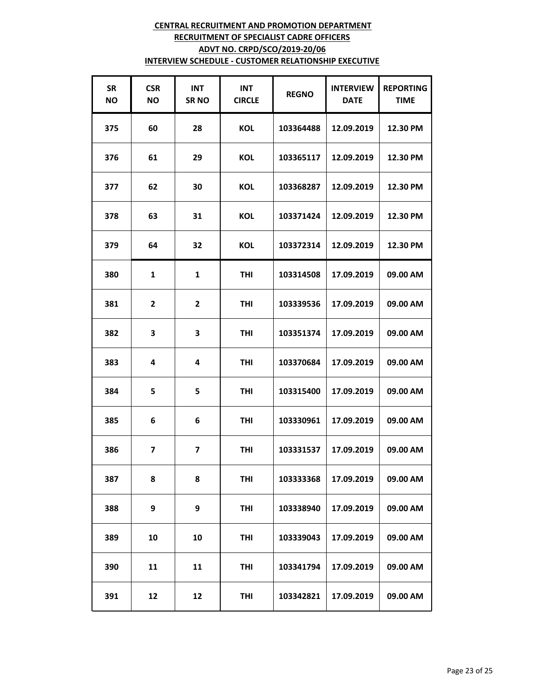| <b>SR</b><br><b>NO</b> | <b>CSR</b><br>ΝO        | <b>INT</b><br><b>SRNO</b> | <b>INT</b><br><b>CIRCLE</b> | <b>REGNO</b> | <b>INTERVIEW</b><br><b>DATE</b> | <b>REPORTING</b><br><b>TIME</b> |
|------------------------|-------------------------|---------------------------|-----------------------------|--------------|---------------------------------|---------------------------------|
| 375                    | 60                      | 28                        | <b>KOL</b>                  | 103364488    | 12.09.2019                      | 12.30 PM                        |
| 376                    | 61                      | 29                        | <b>KOL</b>                  | 103365117    | 12.09.2019                      | 12.30 PM                        |
| 377                    | 62                      | 30                        | <b>KOL</b>                  | 103368287    | 12.09.2019                      | 12.30 PM                        |
| 378                    | 63                      | 31                        | <b>KOL</b>                  | 103371424    | 12.09.2019                      | 12.30 PM                        |
| 379                    | 64                      | 32                        | <b>KOL</b>                  | 103372314    | 12.09.2019                      | 12.30 PM                        |
| 380                    | $\mathbf{1}$            | $\mathbf{1}$              | <b>THI</b>                  | 103314508    | 17.09.2019                      | 09.00 AM                        |
| 381                    | $\overline{2}$          | $\overline{2}$            | <b>THI</b>                  | 103339536    | 17.09.2019                      | 09.00 AM                        |
| 382                    | 3                       | 3                         | <b>THI</b>                  | 103351374    | 17.09.2019                      | 09.00 AM                        |
| 383                    | 4                       | 4                         | <b>THI</b>                  | 103370684    | 17.09.2019                      | 09.00 AM                        |
| 384                    | 5                       | 5                         | <b>THI</b>                  | 103315400    | 17.09.2019                      | 09.00 AM                        |
| 385                    | 6                       | 6                         | THI                         | 103330961    | 17.09.2019                      | 09.00 AM                        |
| 386                    | $\overline{\mathbf{z}}$ | $\overline{\mathbf{z}}$   | <b>THI</b>                  | 103331537    | 17.09.2019                      | 09.00 AM                        |
| 387                    | 8                       | 8                         | <b>THI</b>                  | 103333368    | 17.09.2019                      | 09.00 AM                        |
| 388                    | 9                       | 9                         | THI                         | 103338940    | 17.09.2019                      | 09.00 AM                        |
| 389                    | 10                      | 10                        | <b>THI</b>                  | 103339043    | 17.09.2019                      | 09.00 AM                        |
| 390                    | 11                      | 11                        | <b>THI</b>                  | 103341794    | 17.09.2019                      | 09.00 AM                        |
| 391                    | 12                      | 12                        | <b>THI</b>                  | 103342821    | 17.09.2019                      | 09.00 AM                        |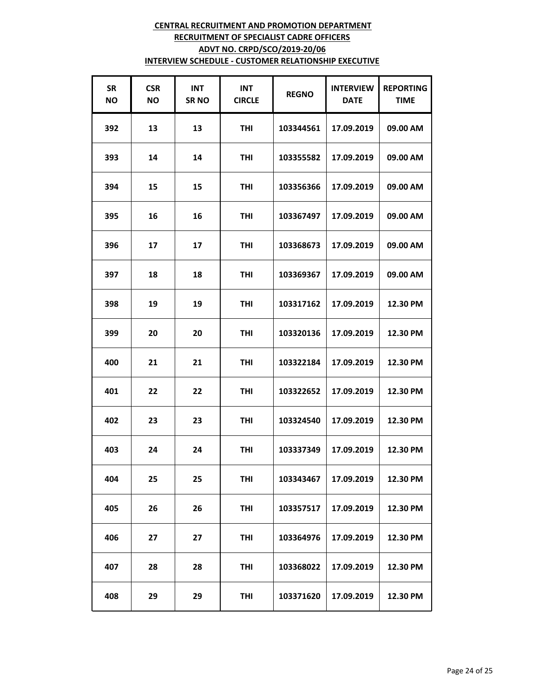| <b>SR</b><br><b>NO</b> | <b>CSR</b><br><b>NO</b> | <b>INT</b><br><b>SRNO</b> | <b>INT</b><br><b>CIRCLE</b> | <b>REGNO</b> | <b>INTERVIEW</b><br><b>DATE</b> | <b>REPORTING</b><br><b>TIME</b> |
|------------------------|-------------------------|---------------------------|-----------------------------|--------------|---------------------------------|---------------------------------|
| 392                    | 13                      | 13                        | <b>THI</b>                  | 103344561    | 17.09.2019                      | 09.00 AM                        |
| 393                    | 14                      | 14                        | <b>THI</b>                  | 103355582    | 17.09.2019                      | 09.00 AM                        |
| 394                    | 15                      | 15                        | THI                         | 103356366    | 17.09.2019                      | 09.00 AM                        |
| 395                    | 16                      | 16                        | <b>THI</b>                  | 103367497    | 17.09.2019                      | 09.00 AM                        |
| 396                    | 17                      | 17                        | THI                         | 103368673    | 17.09.2019                      | 09.00 AM                        |
| 397                    | 18                      | 18                        | <b>THI</b>                  | 103369367    | 17.09.2019                      | 09.00 AM                        |
| 398                    | 19                      | 19                        | <b>THI</b>                  | 103317162    | 17.09.2019                      | 12.30 PM                        |
| 399                    | 20                      | 20                        | <b>THI</b>                  | 103320136    | 17.09.2019                      | 12.30 PM                        |
| 400                    | 21                      | 21                        | THI                         | 103322184    | 17.09.2019                      | 12.30 PM                        |
| 401                    | 22                      | 22                        | <b>THI</b>                  | 103322652    | 17.09.2019                      | 12.30 PM                        |
| 402                    | 23                      | 23                        | THI                         | 103324540    | 17.09.2019                      | 12.30 PM                        |
| 403                    | 24                      | 24                        | <b>THI</b>                  | 103337349    | 17.09.2019                      | 12.30 PM                        |
| 404                    | 25                      | 25                        | <b>THI</b>                  | 103343467    | 17.09.2019                      | 12.30 PM                        |
| 405                    | 26                      | 26                        | <b>THI</b>                  | 103357517    | 17.09.2019                      | 12.30 PM                        |
| 406                    | 27                      | 27                        | <b>THI</b>                  | 103364976    | 17.09.2019                      | 12.30 PM                        |
| 407                    | 28                      | 28                        | THI                         | 103368022    | 17.09.2019                      | 12.30 PM                        |
| 408                    | 29                      | 29                        | <b>THI</b>                  | 103371620    | 17.09.2019                      | 12.30 PM                        |